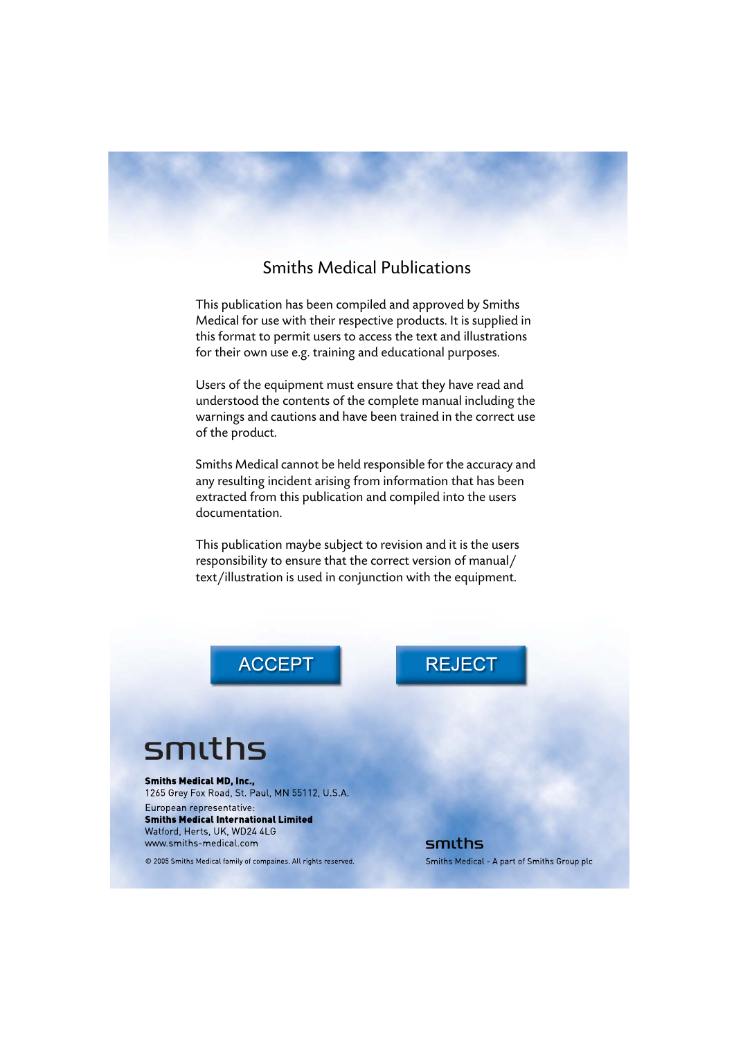#### Smiths Medical Publications

This publication has been compiled and approved by Smiths Medical for use with their respective products. It is supplied in this format to permit users to access the text and illustrations for their own use e.g. training and educational purposes.

Users of the equipment must ensure that they have read and understood the contents of the complete manual including the warnings and cautions and have been trained in the correct use of the product.

Smiths Medical cannot be held responsible for the accuracy and any resulting incident arising from information that has been extracted from this publication and compiled into the users documentation.

This publication maybe subject to revision and it is the users responsibility to ensure that the correct version of manual/ text/illustration is used in conjunction with the equipment.

**ACCEPT** 

# smiths

**Smiths Medical MD. Inc.,** 1265 Grey Fox Road, St. Paul, MN 55112, U.S.A.

European representative: **Smiths Medical International Limited** Watford, Herts, UK, WD24 4LG www.smiths-medical.com

© 2005 Smiths Medical family of compaines. All rights reserved.

## **REJECT**

smiths Smiths Medical - A part of Smiths Group plc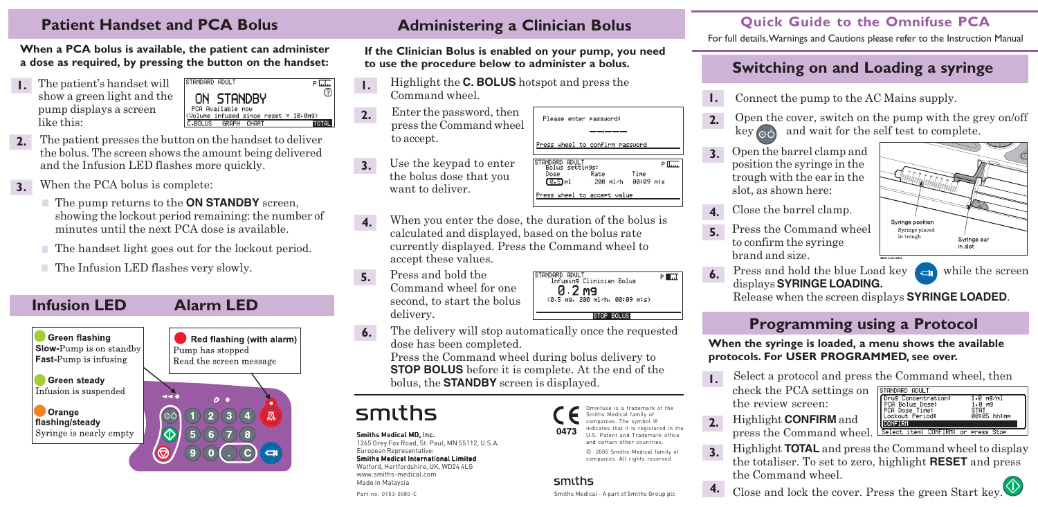#### **Patient Handset and PCA Bolus**

**When a PCA bolus is available, the patient can administer a dose as required, by pressing the button on the handset:**

The patient's handset will show a green light and the pump displays a screen like this: **1.**

STANDARD ADULT  $P$  Inter ඹ ON STANDBY PCA Available now (Volume infused since reset = 10.0m9) **GRAPH** TOTAL

- **2.** The patient presses the button on the handset to deliver the bolus. The screen shows the amount being delivered and the Infusion LED flashes more quickly.
- **3.** When the PCA bolus is complete:
	- The pump returns to the **ON STANDBY** screen, showing the lockout period remaining: the number of minutes until the next PCA dose is available.
	- The handset light goes out for the lockout period.
	- $\blacksquare$  The Infusion LED flashes very slowly.



#### **Administering a Clinician Bolus**

**If the Clinician Bolus is enabled on your pump, you need to use the procedure below to administer a bolus.**

- Highlight the **C. BOLUS** hotspot and press the Command wheel. **1.**
- Enter the password, then press the Command wheel to accept. **2.**
- Use the keypad to enter the bolus dose that you want to deliver. **3.**
- When you enter the dose, the duration of the bolus is calculated and displayed, based on the bolus rate currently displayed. Press the Command wheel to accept these values. **4.**
- **5.** Press and hold the Command wheel for one second, to start the bolus delivery.



Please enter password:

STANDARD ADULT<br>Bolus settin9s:

Dose

 $(0.5)$ ml

Press wheel to confirm eassword

Press wheel to accept value

Rate

200 ml/h

The delivery will stop automatically once the requested dose has been completed. **6.**

Press the Command wheel during bolus delivery to **STOP BOLUS** before it is complete. At the end of the bolus, the **STANDBY** screen is displayed.

# smiths

Smiths Medical MD, Inc. 1265 Grey Fox Road, St. Paul, MN 55112, U.S.A. European Representative:

#### Smiths Medical International Limited

Part no. 0153-0080-C Watford, Hertfordshire, UK, WD24 4LG www.smiths-medical.com Made in Malaysia

Omnifuse is a trademark of the Smiths Medical family of companies. The symbol ® indicates that it is registered in the 047 U.S. Patent and Trademark office and certain other countries.

> © 2005 Smiths Medical family of companies. All rights reserved

#### smiths

Smiths Medical - A part of Smiths Group plc

#### **Quick Guide to the Omnifuse PCA**

For full details, Warnings and Cautions please refer to the Instruction Manual

### **Switching on and Loading a syringe**

- **1.** Connect the pump to the AC Mains supply.
- **2.** Open the cover, switch on the pump with the grey on/off key  $\circledcirc$  and wait for the self test to complete.
- **3.** Open the barrel clamp and position the syringe in the trough with the ear in the slot, as shown here:
- **4.** Close the barrel clamp.
- Press the Command wheel to confirm the syringe brand and size. **5.**

**6.**

 $P\overline{\text{tan}}$ 

Time

00:09 m:s

Press and hold the blue Load key  $\left($   $\right)$  while the screen displays **SYRINGE LOADING.**

Release when the screen displays **SYRINGE LOADED**.

### **Programming using a Protocol**

**When the syringe is loaded, a menu shows the available protocols. For USER PROGRAMMED, see over.**

- **1.** Select a protocol and press the Command wheel, then
	- check the PCA settings on the review screen:
- STANDARD ADULT Drug Concentration:<br>PCA Bolus Dose:<br>PCA Dose Time: 1.0 m9/ml  $1.0 - 9.9$ **STAT** 00:05 hh∶mm Lockout Period: **CONFIRM** Select item: CONFIRM: or Press Stor
- **2.** Highlight **CONFIRM** and press the Command wheel.
- **3.** Highlight **TOTAL** and press the Command wheel to display the totaliser. To set to zero, highlight **RESET** and press the Command wheel.
	-

**4.** Close and lock the cover. Press the green Start key.